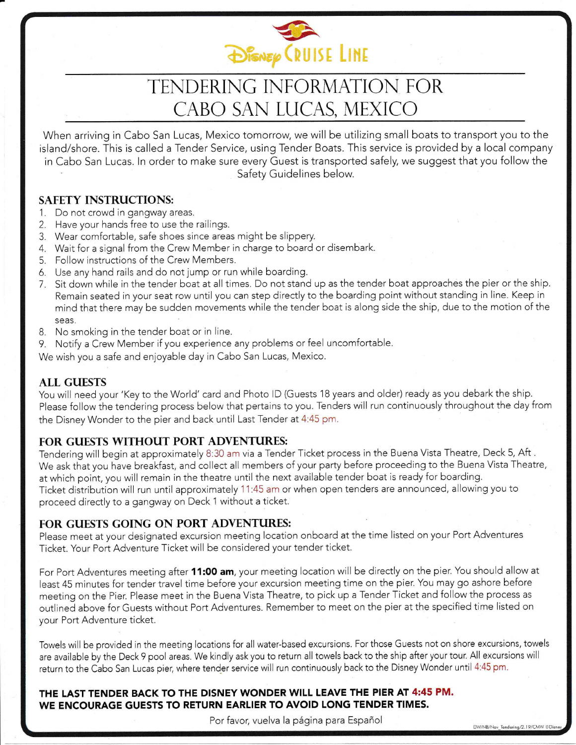

# TENDERING INFORMATION FOR CABO SAN LUCAS, MEXICO

When arriving in Cabo San Lucas, Mexico tomorrow, we will be utilizing small boats to transport you to the island/shore. This is called a Tender Service, using Tender Boats. This service is provided by a local company in Cabo San Lucas. In order to make sure every Guest is transported safely, we suggest that you follow the Safety Guidelines below.

# SAFETY INSTRUCTIONS:

- 1. Do not crowd in gangway areas.
- 2. Have your hands free to use the railings.
- 3. Wear comfortable, safe shoes since areas might be slippery.
- 4. Wait for a signal from the Crew Member in charge to board or disembark.
- 5. Follow instructions of the Crew Members.
- 6. Use any hand rails and do not jump or run while boarding.
- <sup>7</sup>. Sit down while in the tender boat at all times. Do not stand up as the tender boat approaches the pier or the ship. Remain seated in your seat row until you can step directly to the boarding point without standing in line. Keep in mind that there may be sudden movements while the tender boat is along side the ship, due to the motion of the seas.
- 8. No smoking in the tender boat or in line.
- 9. Notify a Crew Member if you experience any problems or feel uncomfortable.

We wish you a safe and enjoyable day in Cabo San Lucas, Mexico.

# **ALL GUESTS**

You will need your 'Key to the World' card and Photo ID (Guests 18 years and older) ready as you debark the ship. Please follow the tendering process below that pertains to you. Tenders will run continuously throughout the day from the Disney Wonder to the pier and back until Last Tender at 4:45 pm.

# FOR GUESTS WITHOUT PORT ADVENTURES:

Tendering will begin at approximately B:30 am via a Tender Ticket process in the Buena Vista Theatre, Deck 5, Aft . We ask that you have breakfast, and collect all members of your party before proceeding to the Buena Vista Theatre, at which point, you will remain in the theatre until the next available tender boat is ready for boarding. Ticket distribution will run until approximately 11:45 am or when open tenders are announced, allowing you to proceed directly to a gangway on Deck 1 without a ticket.

# FOR GUESTS GOING ON PORT ADVENTURES:

Please meet at your designated excursion meeting location onboard at the time listed on your Port Adventures Ticket. Your Port Adventure Ticket will be considered your tender ticket.

For Port Adventures meeting after 11:00 am, your meeting location will be directly on the pier. You should allow at least 45 minutes for tender travel time before your excursion meeting time on the pier. You may go ashore before meeting on the Pier. Please meet in the Buena Vista Theatre, to pick up a Tender Ticket and follow the process as outlined above for Guests without Port Adventures. Remember to meet on the pier at the specified time listed on your Port Adventure ticket.

Towels will be provided in the meeting locations for all water-based excursions. For those Guests not on shore excursions, towels are available by the Deck 9 pool areas. We kindly ask you to return all towels back to the ship after your tour. All excursions will return to the Cabo San Lucas pier, where tender service will run continuously back to the Disney Wonder until 4:45 pm.

### THE LAST TENDER BACK TO THE DISNEY WONDER WILL LEAVE THE PIER AT 4:45 PM. WE ENCOURAGE GUESTS TO RETURN EARLIER TO AVOID LONG TENDER TIMES.

Por favor, vuelva la página para Español